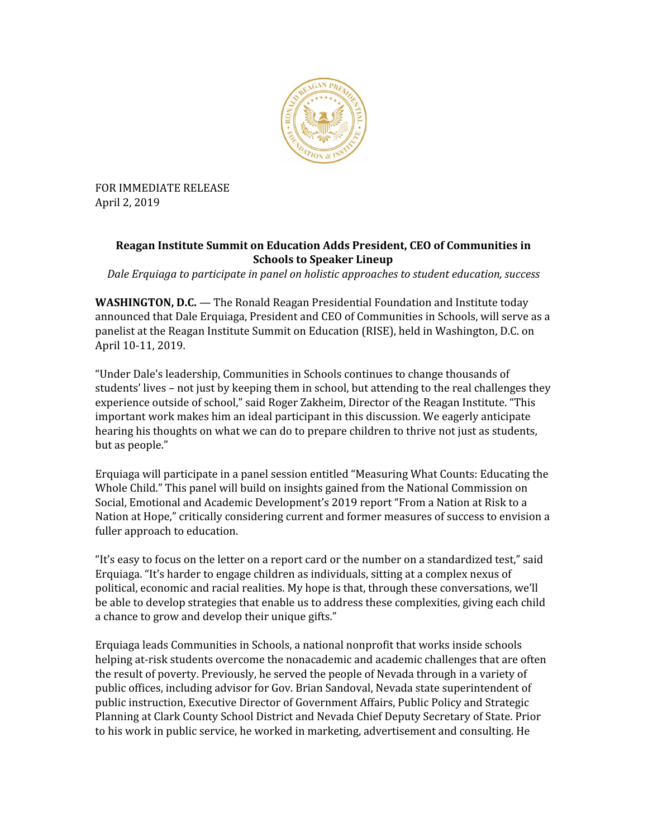

FOR IMMEDIATE RELEASE April 2, 2019

## **Reagan Institute Summit on Education Adds President, CEO of Communities in Schools to Speaker Lineup**

*Dale Erquiaga to participate in panel on holistic approaches to student education, success*

**WASHINGTON, D.C.** — The Ronald Reagan Presidential Foundation and Institute today announced that Dale Erquiaga, President and CEO of Communities in Schools, will serve as a panelist at the Reagan Institute Summit on Education (RISE), held in Washington, D.C. on April 10-11, 2019.

"Under Dale's leadership, Communities in Schools continues to change thousands of students' lives – not just by keeping them in school, but attending to the real challenges they experience outside of school," said Roger Zakheim, Director of the Reagan Institute. "This important work makes him an ideal participant in this discussion. We eagerly anticipate hearing his thoughts on what we can do to prepare children to thrive not just as students, but as people."

Erquiaga will participate in a panel session entitled "Measuring What Counts: Educating the Whole Child." This panel will build on insights gained from the National Commission on Social, Emotional and Academic Development's 2019 report "From a Nation at Risk to a Nation at Hope," critically considering current and former measures of success to envision a fuller approach to education.

"It's easy to focus on the letter on a report card or the number on a standardized test," said Erquiaga. "It's harder to engage children as individuals, sitting at a complex nexus of political, economic and racial realities. My hope is that, through these conversations, we'll be able to develop strategies that enable us to address these complexities, giving each child a chance to grow and develop their unique gifts."

Erquiaga leads Communities in Schools, a national nonprofit that works inside schools helping at-risk students overcome the nonacademic and academic challenges that are often the result of poverty. Previously, he served the people of Nevada through in a variety of public offices, including advisor for Gov. Brian Sandoval, Nevada state superintendent of public instruction, Executive Director of Government Affairs, Public Policy and Strategic Planning at Clark County School District and Nevada Chief Deputy Secretary of State. Prior to his work in public service, he worked in marketing, advertisement and consulting. He